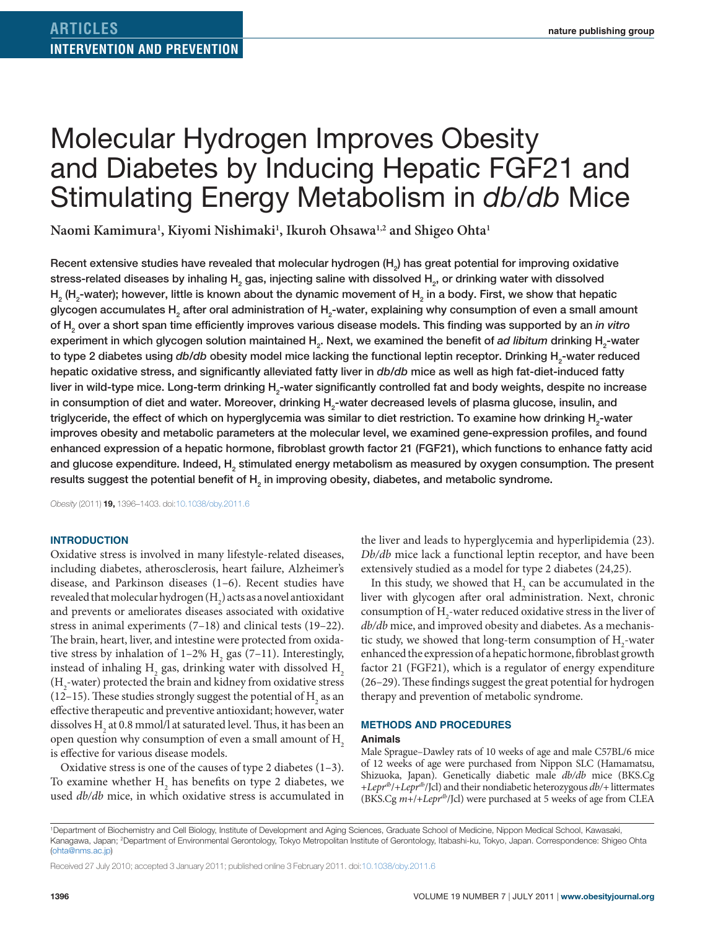# Molecular Hydrogen Improves Obesity and Diabetes by Inducing Hepatic FGF21 and Stimulating Energy Metabolism in *db/db* Mice

**Naomi Kamimura1 , Kiyomi Nishimaki1 , Ikuroh Ohsawa1,2 and Shigeo Ohta1**

Recent extensive studies have revealed that molecular hydrogen (H<sub>2</sub>) has great potential for improving oxidative stress-related diseases by inhaling  $\mathsf{H}_{_2}$  gas, injecting saline with dissolved  $\mathsf{H}_{_2}$ , or drinking water with dissolved H<sub>2</sub> (H<sub>2</sub>-water); however, little is known about the dynamic movement of H<sub>2</sub> in a body. First, we show that hepatic glycogen accumulates  ${\sf H}_{_2}$  after oral administration of  ${\sf H}_{_2}$ -water, explaining why consumption of even a small amount of H2 over a short span time efficiently improves various disease models. This finding was supported by an *in vitro* experiment in which glycogen solution maintained H<sub>2</sub>. Next, we examined the benefit of *ad libitum* drinking H<sub>2</sub>-water to type 2 diabetes using *db/db* obesity model mice lacking the functional leptin receptor. Drinking H<sub>2</sub>-water reduced hepatic oxidative stress, and significantly alleviated fatty liver in *db*/*db* mice as well as high fat-diet-induced fatty liver in wild-type mice. Long-term drinking H<sub>2</sub>-water significantly controlled fat and body weights, despite no increase in consumption of diet and water. Moreover, drinking  $\mathsf{H}_{_2}$ -water decreased levels of plasma glucose, insulin, and triglyceride, the effect of which on hyperglycemia was similar to diet restriction. To examine how drinking  ${\sf H}_{_2}$ -water improves obesity and metabolic parameters at the molecular level, we examined gene-expression profiles, and found enhanced expression of a hepatic hormone, fibroblast growth factor 21 (FGF21), which functions to enhance fatty acid and glucose expenditure. Indeed,  ${\sf H}_{_2}$  stimulated energy metabolism as measured by oxygen consumption. The present results suggest the potential benefit of  $\mathsf{H}_2$  in improving obesity, diabetes, and metabolic syndrome.

*Obesity* (2011) **19,** 1396–1403. doi[:10.1038/oby.2011.6](http://www.nature.com/doifinder/10.1038/oby.2011.6)

#### **Introduction**

Oxidative stress is involved in many lifestyle-related diseases, including diabetes, atherosclerosis, heart failure, Alzheimer's disease, and Parkinson diseases (1–6). Recent studies have revealed that molecular hydrogen (H<sub>2</sub>) acts as a novel antioxidant and prevents or ameliorates diseases associated with oxidative stress in animal experiments (7–18) and clinical tests (19–22). The brain, heart, liver, and intestine were protected from oxidative stress by inhalation of  $1-2\%$  H<sub>2</sub> gas (7–11). Interestingly, instead of inhaling  $\text{H}_{\text{2}}$  gas, drinking water with dissolved  $\text{H}_{\text{2}}$  $\rm (H_{2}$ -water) protected the brain and kidney from oxidative stress (12–15). These studies strongly suggest the potential of  $H_2$  as an effective therapeutic and preventive antioxidant; however, water dissolves  $\mathrm{H}_{_2}$  at 0.8 mmol/l at saturated level. Thus, it has been an open question why consumption of even a small amount of  $H<sub>2</sub>$ is effective for various disease models.

Oxidative stress is one of the causes of type 2 diabetes (1–3). To examine whether  $H_2$  has benefits on type 2 diabetes, we used *db/db* mice, in which oxidative stress is accumulated in

the liver and leads to hyperglycemia and hyperlipidemia (23). *Db/db* mice lack a functional leptin receptor, and have been extensively studied as a model for type 2 diabetes (24,25).

In this study, we showed that  $H<sub>2</sub>$  can be accumulated in the liver with glycogen after oral administration. Next, chronic consumption of  $H_2$ -water reduced oxidative stress in the liver of *db/db* mice, and improved obesity and diabetes. As a mechanistic study, we showed that long-term consumption of  $\mathrm{H}_2$ -water enhanced the expression of a hepatic hormone, fibroblast growth factor 21 (FGF21), which is a regulator of energy expenditure (26–29). These findings suggest the great potential for hydrogen therapy and prevention of metabolic syndrome.

#### **Methods and Procedures**

#### **Animals**

Male Sprague–Dawley rats of 10 weeks of age and male C57BL/6 mice of 12 weeks of age were purchased from Nippon SLC (Hamamatsu, Shizuoka, Japan). Genetically diabetic male *db/db* mice (BKS.Cg +*Leprdb*/+*Leprdb*/Jcl) and their nondiabetic heterozygous *db/+* littermates (BKS.Cg *m*+/+*Leprdb*/Jcl) were purchased at 5 weeks of age from CLEA

Received 27 July 2010; accepted 3 January 2011; published online 3 February 2011. doi[:10.1038/oby.2011.6](http://www.nature.com/doifinder/10.1038/oby.2011.6)

<sup>1</sup> Department of Biochemistry and Cell Biology, Institute of Development and Aging Sciences, Graduate School of Medicine, Nippon Medical School, Kawasaki, Kanagawa, Japan; 2 Department of Environmental Gerontology, Tokyo Metropolitan Institute of Gerontology, Itabashi-ku, Tokyo, Japan. Correspondence: Shigeo Ohta [\(ohta@nms.ac.jp\)](mailto:ohta@nms.ac.jp)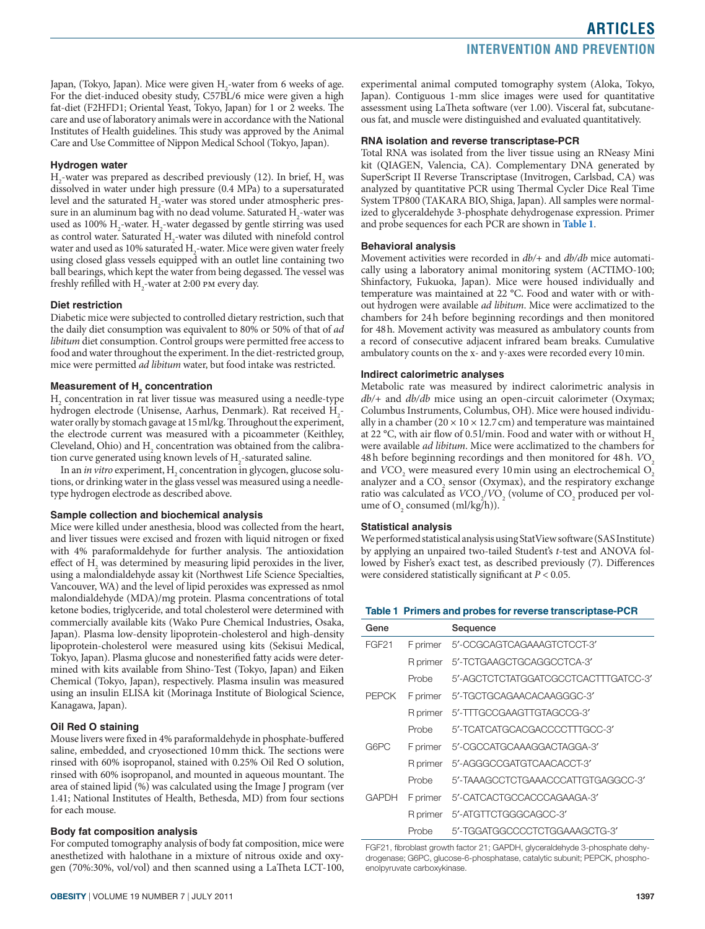Japan, (Tokyo, Japan). Mice were given H<sub>2</sub>-water from 6 weeks of age. For the diet-induced obesity study, C57BL/6 mice were given a high fat-diet (F2HFD1; Oriental Yeast, Tokyo, Japan) for 1 or 2 weeks. The care and use of laboratory animals were in accordance with the National Institutes of Health guidelines. This study was approved by the Animal Care and Use Committee of Nippon Medical School (Tokyo, Japan).

#### **Hydrogen water**

 $H_2$ -water was prepared as described previously (12). In brief,  $H_2$  was dissolved in water under high pressure (0.4 MPa) to a supersaturated level and the saturated  $H_2$ -water was stored under atmospheric pressure in an aluminum bag with no dead volume. Saturated  $H_2$ -water was used as 100%  $H_2$ -water.  $H_2$ -water degassed by gentle stirring was used as control water. Saturated  $H_2$ -water was diluted with ninefold control water and used as 10% saturated  $\rm H_{2}$ -water. Mice were given water freely using closed glass vessels equipped with an outlet line containing two ball bearings, which kept the water from being degassed. The vessel was freshly refilled with  $\rm H_{2}$ -water at 2:00 pm every day.

#### **Diet restriction**

Diabetic mice were subjected to controlled dietary restriction, such that the daily diet consumption was equivalent to 80% or 50% of that of *ad libitum* diet consumption. Control groups were permitted free access to food and water throughout the experiment. In the diet-restricted group, mice were permitted *ad libitum* water, but food intake was restricted.

#### **Measurement of H<sub>2</sub> concentration**

H2 concentration in rat liver tissue was measured using a needle-type hydrogen electrode (Unisense, Aarhus, Denmark). Rat received H<sub>2</sub>water orally by stomach gavage at 15ml/kg. Throughout the experiment, the electrode current was measured with a picoammeter (Keithley, Cleveland, Ohio) and  $H_2$  concentration was obtained from the calibration curve generated using known levels of  $H_2$ -saturated saline.

In an *in vitro* experiment, H<sub>2</sub> concentration in glycogen, glucose solutions, or drinking water in the glass vessel was measured using a needletype hydrogen electrode as described above.

#### **Sample collection and biochemical analysis**

Mice were killed under anesthesia, blood was collected from the heart, and liver tissues were excised and frozen with liquid nitrogen or fixed with 4% paraformaldehyde for further analysis. The antioxidation effect of  $H_2$  was determined by measuring lipid peroxides in the liver, using a malondialdehyde assay kit (Northwest Life Science Specialties, Vancouver, WA) and the level of lipid peroxides was expressed as nmol malondialdehyde (MDA)/mg protein. Plasma concentrations of total ketone bodies, triglyceride, and total cholesterol were determined with commercially available kits (Wako Pure Chemical Industries, Osaka, Japan). Plasma low-density lipoprotein-cholesterol and high-density lipoprotein-cholesterol were measured using kits (Sekisui Medical, Tokyo, Japan). Plasma glucose and nonesterified fatty acids were determined with kits available from Shino-Test (Tokyo, Japan) and Eiken Chemical (Tokyo, Japan), respectively. Plasma insulin was measured using an insulin ELISA kit (Morinaga Institute of Biological Science, Kanagawa, Japan).

#### **Oil Red O staining**

Mouse livers were fixed in 4% paraformaldehyde in phosphate-buffered saline, embedded, and cryosectioned 10mm thick. The sections were rinsed with 60% isopropanol, stained with 0.25% Oil Red O solution, rinsed with 60% isopropanol, and mounted in aqueous mountant. The area of stained lipid (%) was calculated using the Image J program (ver 1.41; National Institutes of Health, Bethesda, MD) from four sections for each mouse.

#### **Body fat composition analysis**

For computed tomography analysis of body fat composition, mice were anesthetized with halothane in a mixture of nitrous oxide and oxygen (70%:30%, vol/vol) and then scanned using a LaTheta LCT-100, experimental animal computed tomography system (Aloka, Tokyo, Japan). Contiguous 1-mm slice images were used for quantitative assessment using LaTheta software (ver 1.00). Visceral fat, subcutaneous fat, and muscle were distinguished and evaluated quantitatively.

#### **RNA isolation and reverse transcriptase-PCR**

Total RNA was isolated from the liver tissue using an RNeasy Mini kit (QIAGEN, Valencia, CA). Complementary DNA generated by SuperScript II Reverse Transcriptase (Invitrogen, Carlsbad, CA) was analyzed by quantitative PCR using Thermal Cycler Dice Real Time System TP800 (TAKARA BIO, Shiga, Japan). All samples were normalized to glyceraldehyde 3-phosphate dehydrogenase expression. Primer and probe sequences for each PCR are shown in **Table 1**.

#### **Behavioral analysis**

Movement activities were recorded in *db/+* and *db/db* mice automatically using a laboratory animal monitoring system (ACTIMO-100; Shinfactory, Fukuoka, Japan). Mice were housed individually and temperature was maintained at 22 °C. Food and water with or without hydrogen were available *ad libitum*. Mice were acclimatized to the chambers for 24h before beginning recordings and then monitored for 48h. Movement activity was measured as ambulatory counts from a record of consecutive adjacent infrared beam breaks. Cumulative ambulatory counts on the x- and y-axes were recorded every 10min.

#### **Indirect calorimetric analyses**

Metabolic rate was measured by indirect calorimetric analysis in *db/+* and *db/db* mice using an open-circuit calorimeter (Oxymax; Columbus Instruments, Columbus, OH). Mice were housed individually in a chamber ( $20 \times 10 \times 12.7$  cm) and temperature was maintained at 22 °C, with air flow of 0.51/min. Food and water with or without  $H<sub>2</sub>$ were available *ad libitum*. Mice were acclimatized to the chambers for 48h before beginning recordings and then monitored for 48h. *VO*<sub>2</sub> and *VCO*<sub>2</sub> were measured every 10 min using an electrochemical O<sub>2</sub> analyzer and a  $CO_2$  sensor (Oxymax), and the respiratory exchange ratio was calculated as  $VCO_2/VO_2$  (volume of  $CO_2$  produced per volume of  $O_2$  consumed (ml/kg/h)).

#### **Statistical analysis**

We performed statistical analysis using StatView software (SAS Institute) by applying an unpaired two-tailed Student's *t*-test and ANOVA followed by Fisher's exact test, as described previously (7). Differences were considered statistically significant at *P* < 0.05.

#### **Table 1 Primers and probes for reverse transcriptase-PCR**

| Gene         |          | Sequence                             |
|--------------|----------|--------------------------------------|
| <b>FGF21</b> | F primer | 5'-CCGCAGTCAGAAAGTCTCCT-3'           |
|              |          | R primer 5'-TCTGAAGCTGCAGGCCTCA-3'   |
|              | Probe    | 5'-AGCTCTCTATGGATCGCCTCACTTTGATCC-3' |
| <b>PEPCK</b> |          | F primer 5'-TGCTGCAGAACACAAGGGC-3'   |
|              |          | R primer 5'-TTTGCCGAAGTTGTAGCCG-3'   |
|              | Probe    | 5'-TCATCATGCACGACCCCTTTGCC-3'        |
| G6PC         |          | F primer 5'-CGCCATGCAAAGGACTAGGA-3'  |
|              |          | R primer 5'-AGGGCCGATGTCAACACCT-3'   |
|              | Probe    | 5'-TAAAGCCTCTGAAACCCATTGTGAGGCC-3'   |
| GAPDH        |          | F primer 5'-CATCACTGCCACCCAGAAGA-3'  |
|              |          | R primer 5'-ATGTTCTGGGCAGCC-3'       |
|              | Probe    | 5'-TGGATGGCCCCTCTGGAAAGCTG-3'        |

FGF21, fibroblast growth factor 21; GAPDH, glyceraldehyde 3-phosphate dehydrogenase; G6PC, glucose-6-phosphatase, catalytic subunit; PEPCK, phosphoenolpyruvate carboxykinase.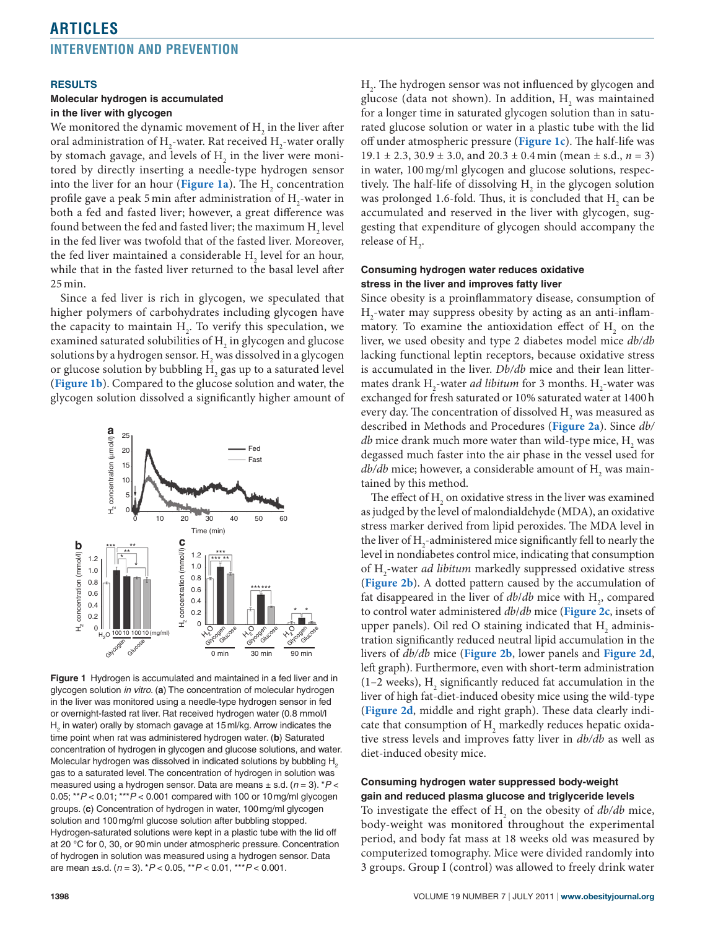#### **Results**

#### **Molecular hydrogen is accumulated in the liver with glycogen**

We monitored the dynamic movement of  $\mathrm{H}_{_{2}}$  in the liver after oral administration of  $\rm H_2$ -water. Rat received  $\rm H_2$ -water orally by stomach gavage, and levels of  $\mathrm{H}_2^{}$  in the liver were monitored by directly inserting a needle-type hydrogen sensor into the liver for an hour (**Figure 1a**). The  $H_2$  concentration profile gave a peak 5 min after administration of  $\rm H_2$ -water in both a fed and fasted liver; however, a great difference was found between the fed and fasted liver; the maximum  $\rm H_2$  level in the fed liver was twofold that of the fasted liver. Moreover, the fed liver maintained a considerable  $\mathrm{H}_{_2}$  level for an hour, while that in the fasted liver returned to the basal level after 25 min.

Since a fed liver is rich in glycogen, we speculated that higher polymers of carbohydrates including glycogen have the capacity to maintain  $H_2$ . To verify this speculation, we examined saturated solubilities of  $\mathrm{H}_{\mathrm{2}}$  in glycogen and glucose solutions by a hydrogen sensor.  $\mathrm{H}_\mathrm{2}$  was dissolved in a glycogen or glucose solution by bubbling  $\mathrm{H}_{_2}$  gas up to a saturated level (**Figure 1b**). Compared to the glucose solution and water, the glycogen solution dissolved a significantly higher amount of



**Figure 1** Hydrogen is accumulated and maintained in a fed liver and in glycogen solution *in vitro*. (**a**) The concentration of molecular hydrogen in the liver was monitored using a needle-type hydrogen sensor in fed or overnight-fasted rat liver. Rat received hydrogen water (0.8 mmol/l  $H_2$  in water) orally by stomach gavage at 15 ml/kg. Arrow indicates the time point when rat was administered hydrogen water. (**b**) Saturated concentration of hydrogen in glycogen and glucose solutions, and water. Molecular hydrogen was dissolved in indicated solutions by bubbling  $H<sub>2</sub>$ gas to a saturated level. The concentration of hydrogen in solution was measured using a hydrogen sensor. Data are means ± s.d. (*n* = 3). \**P* < 0.05; \*\**P* < 0.01; \*\*\**P* < 0.001 compared with 100 or 10mg/ml glycogen groups. (**c**) Concentration of hydrogen in water, 100mg/ml glycogen solution and 100mg/ml glucose solution after bubbling stopped. Hydrogen-saturated solutions were kept in a plastic tube with the lid off at 20 °C for 0, 30, or 90min under atmospheric pressure. Concentration of hydrogen in solution was measured using a hydrogen sensor. Data are mean ±s.d. (*n* = 3). \**P* < 0.05, \*\**P* < 0.01, \*\*\**P* < 0.001.

 $\rm{H}_{2}$ . The hydrogen sensor was not influenced by glycogen and glucose (data not shown). In addition,  $H_2$  was maintained for a longer time in saturated glycogen solution than in saturated glucose solution or water in a plastic tube with the lid off under atmospheric pressure (**Figure 1c**). The half-life was  $19.1 \pm 2.3$ ,  $30.9 \pm 3.0$ , and  $20.3 \pm 0.4$  min (mean  $\pm$  s.d.,  $n = 3$ ) in water, 100 mg/ml glycogen and glucose solutions, respectively. The half-life of dissolving  $H_2$  in the glycogen solution was prolonged 1.6-fold. Thus, it is concluded that  $\mathrm{H}_{_{2}}$  can be accumulated and reserved in the liver with glycogen, suggesting that expenditure of glycogen should accompany the release of  $H_{2}$ .

#### **Consuming hydrogen water reduces oxidative stress in the liver and improves fatty liver**

Since obesity is a proinflammatory disease, consumption of  $H_2$ -water may suppress obesity by acting as an anti-inflammatory. To examine the antioxidation effect of  $H_2$  on the liver, we used obesity and type 2 diabetes model mice *db/db* lacking functional leptin receptors, because oxidative stress is accumulated in the liver. *Db/db* mice and their lean littermates drank  $H_2$ -water *ad libitum* for 3 months.  $H_2$ -water was exchanged for fresh saturated or 10% saturated water at 1400 h every day. The concentration of dissolved  $\mathrm{H}_{_{2}}$  was measured as described in Methods and Procedures (**Figure 2a**). Since *db/*  $db$  mice drank much more water than wild-type mice,  $\mathrm{H}_{_{2}}$  was degassed much faster into the air phase in the vessel used for  $db/db$  mice; however, a considerable amount of  $\rm H_{_2}$  was maintained by this method.

The effect of  $\mathrm{H}_{_2}$  on oxidative stress in the liver was examined as judged by the level of malondialdehyde (MDA), an oxidative stress marker derived from lipid peroxides. The MDA level in the liver of  $\text{H}_{\text{2}}$ -administered mice significantly fell to nearly the level in nondiabetes control mice, indicating that consumption of H<sub>2</sub>-water *ad libitum* markedly suppressed oxidative stress (**Figure 2b**). A dotted pattern caused by the accumulation of fat disappeared in the liver of  $db/db$  mice with  $H_2$ , compared to control water administered *db*/*db* mice (**Figure 2c**, insets of upper panels). Oil red O staining indicated that  $\mathrm{H}_{_{2}}$  administration significantly reduced neutral lipid accumulation in the livers of *db/db* mice (**Figure 2b**, lower panels and **Figure 2d**, left graph). Furthermore, even with short-term administration (1–2 weeks),  $H_2$  significantly reduced fat accumulation in the liver of high fat-diet-induced obesity mice using the wild-type (**Figure 2d**, middle and right graph). These data clearly indicate that consumption of  $\mathrm{H}_2$  markedly reduces hepatic oxidative stress levels and improves fatty liver in *db/db* as well as diet-induced obesity mice.

#### **Consuming hydrogen water suppressed body-weight gain and reduced plasma glucose and triglyceride levels**

To investigate the effect of  $H_2$  on the obesity of  $db/db$  mice, body-weight was monitored throughout the experimental period, and body fat mass at 18 weeks old was measured by computerized tomography. Mice were divided randomly into 3 groups. Group I (control) was allowed to freely drink water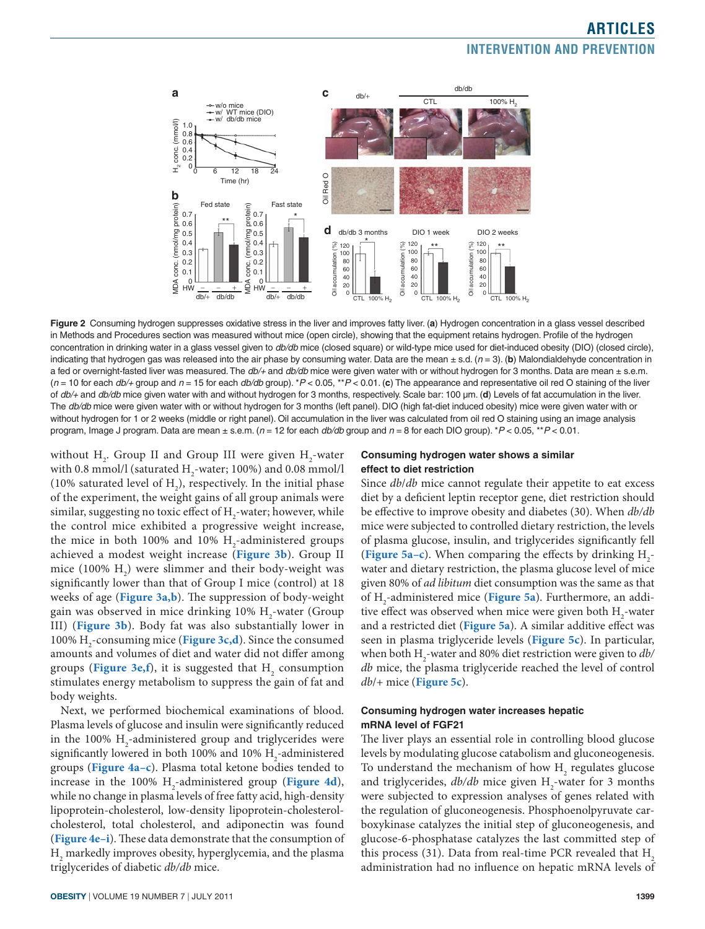

**Figure 2** Consuming hydrogen suppresses oxidative stress in the liver and improves fatty liver. (**a**) Hydrogen concentration in a glass vessel described in Methods and Procedures section was measured without mice (open circle), showing that the equipment retains hydrogen. Profile of the hydrogen concentration in drinking water in a glass vessel given to *db/db* mice (closed square) or wild-type mice used for diet-induced obesity (DIO) (closed circle), indicating that hydrogen gas was released into the air phase by consuming water. Data are the mean  $\pm$  s.d. ( $n = 3$ ). (b) Malondialdehyde concentration in a fed or overnight-fasted liver was measured. The *db/+* and *db/db* mice were given water with or without hydrogen for 3 months. Data are mean ± s.e.m. (*n* = 10 for each *db/+* group and *n* = 15 for each *db/db* group). \**P* < 0.05, \*\**P* < 0.01. (**c**) The appearance and representative oil red O staining of the liver of *db/+* and *db/db* mice given water with and without hydrogen for 3 months, respectively. Scale bar: 100 μm. (**d**) Levels of fat accumulation in the liver. The *db/db* mice were given water with or without hydrogen for 3 months (left panel). DIO (high fat-diet induced obesity) mice were given water with or without hydrogen for 1 or 2 weeks (middle or right panel). Oil accumulation in the liver was calculated from oil red O staining using an image analysis program, Image J program. Data are mean ± s.e.m. (*n* = 12 for each *db/db* group and *n* = 8 for each DIO group). \**P* < 0.05, \*\**P* < 0.01.

without  $H_2$ . Group II and Group III were given  $H_2$ -water with 0.8 mmol/l (saturated  $H_2$ -water; 100%) and 0.08 mmol/l (10% saturated level of  $H_2$ ), respectively. In the initial phase of the experiment, the weight gains of all group animals were similar, suggesting no toxic effect of  $\mathrm{H}_\mathrm{2}$ -water; however, while the control mice exhibited a progressive weight increase, the mice in both 100% and 10%  $H_2$ -administered groups achieved a modest weight increase (**Figure 3b**). Group II mice  $(100\% \text{ H}_2)$  were slimmer and their body-weight was significantly lower than that of Group I mice (control) at 18 weeks of age (**Figure 3a,b**). The suppression of body-weight gain was observed in mice drinking 10%  $\rm H_2$ -water (Group III) (**Figure 3b**). Body fat was also substantially lower in 100% H2 -consuming mice (**Figure 3c,d**). Since the consumed amounts and volumes of diet and water did not differ among groups (Figure 3e,f), it is suggested that H<sub>2</sub> consumption stimulates energy metabolism to suppress the gain of fat and body weights.

Next, we performed biochemical examinations of blood. Plasma levels of glucose and insulin were significantly reduced in the 100%  $\rm H_{2}$ -administered group and triglycerides were significantly lowered in both 100% and 10%  $\rm H_{2}$ -administered groups (**Figure 4a–c**). Plasma total ketone bodies tended to increase in the 100%  $H_2$ -administered group (Figure 4d), while no change in plasma levels of free fatty acid, high-density lipoprotein-cholesterol, low-density lipoprotein-cholesterolcholesterol, total cholesterol, and adiponectin was found (**Figure 4e–i**). These data demonstrate that the consumption of  $\rm{H}_{2}$  markedly improves obesity, hyperglycemia, and the plasma triglycerides of diabetic *db/db* mice.

#### **Consuming hydrogen water shows a similar effect to diet restriction**

Since *db*/*db* mice cannot regulate their appetite to eat excess diet by a deficient leptin receptor gene, diet restriction should be effective to improve obesity and diabetes (30). When *db/db* mice were subjected to controlled dietary restriction, the levels of plasma glucose, insulin, and triglycerides significantly fell (**Figure** 5a–c). When comparing the effects by drinking  $H_2$ water and dietary restriction, the plasma glucose level of mice given 80% of *ad libitum* diet consumption was the same as that of H2 -administered mice (**Figure 5a**). Furthermore, an additive effect was observed when mice were given both  $\mathrm{H}_\mathrm{2}$ -water and a restricted diet (**Figure 5a**). A similar additive effect was seen in plasma triglyceride levels (**Figure 5c**). In particular, when both H<sub>2</sub>-water and 80% diet restriction were given to *db/ db* mice, the plasma triglyceride reached the level of control *db*/+ mice (**Figure 5c**).

#### **Consuming hydrogen water increases hepatic mRNA level of FGF21**

The liver plays an essential role in controlling blood glucose levels by modulating glucose catabolism and gluconeogenesis. To understand the mechanism of how  $\mathrm{H}_2$  regulates glucose and triglycerides,  $db/db$  mice given H<sub>2</sub>-water for 3 months were subjected to expression analyses of genes related with the regulation of gluconeogenesis. Phosphoenolpyruvate carboxykinase catalyzes the initial step of gluconeogenesis, and glucose-6-phosphatase catalyzes the last committed step of this process (31). Data from real-time PCR revealed that  $H<sub>2</sub>$ administration had no influence on hepatic mRNA levels of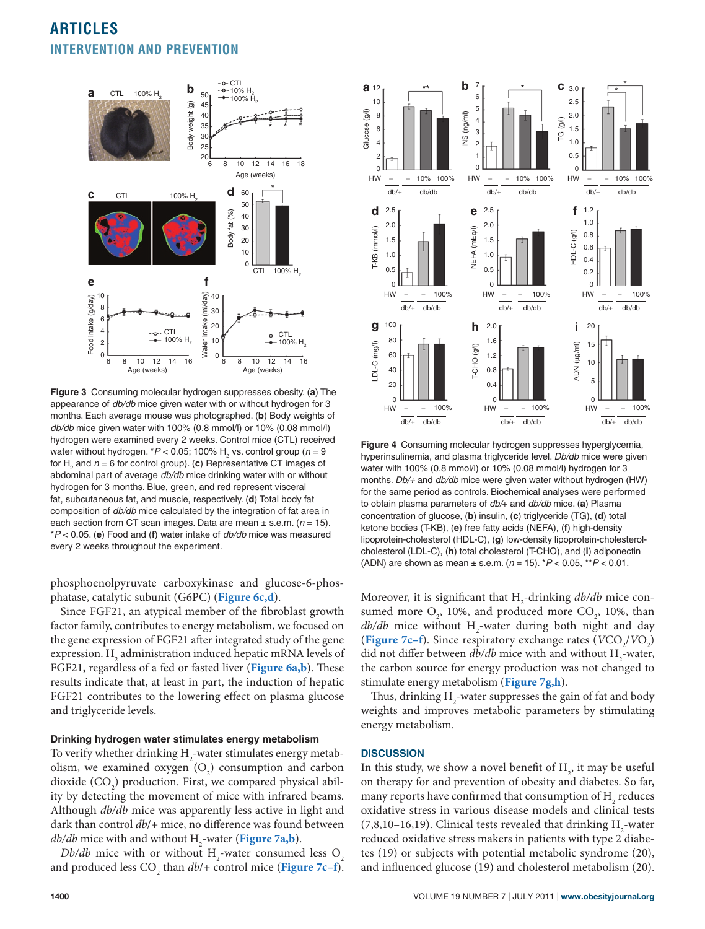

**Figure 3** Consuming molecular hydrogen suppresses obesity. (**a**) The appearance of *db/db* mice given water with or without hydrogen for 3 months. Each average mouse was photographed. (**b**) Body weights of *db/db* mice given water with 100% (0.8 mmol/l) or 10% (0.08 mmol/l) hydrogen were examined every 2 weeks. Control mice (CTL) received water without hydrogen. \**P* < 0.05; 100% H<sub>2</sub> vs. control group (*n* = 9 for H<sub>2</sub> and  $n = 6$  for control group). (c) Representative CT images of abdominal part of average *db/db* mice drinking water with or without hydrogen for 3 months. Blue, green, and red represent visceral fat, subcutaneous fat, and muscle, respectively. (**d**) Total body fat composition of *db/db* mice calculated by the integration of fat area in each section from CT scan images. Data are mean ± s.e.m. (*n* = 15). \**P* < 0.05. (**e**) Food and (**f**) water intake of *db/db* mice was measured every 2 weeks throughout the experiment.

phosphoenolpyruvate carboxykinase and glucose-6-phosphatase, catalytic subunit (G6PC) (**Figure 6c,d**).

Since FGF21, an atypical member of the fibroblast growth factor family, contributes to energy metabolism, we focused on the gene expression of FGF21 after integrated study of the gene expression.  $\mathrm{H}_\mathrm{2}$  administration induced hepatic mRNA levels of FGF21, regardless of a fed or fasted liver (**Figure 6a,b**). These results indicate that, at least in part, the induction of hepatic FGF21 contributes to the lowering effect on plasma glucose and triglyceride levels.

#### **Drinking hydrogen water stimulates energy metabolism**

To verify whether drinking  $\rm{H}_{2}$ -water stimulates energy metabolism, we examined oxygen  $(O_2)$  consumption and carbon dioxide  $(CO_2)$  production. First, we compared physical ability by detecting the movement of mice with infrared beams. Although *db/db* mice was apparently less active in light and dark than control *db*/+ mice, no difference was found between *db/db* mice with and without H<sub>2</sub>-water (**Figure** 7**a,b**).

*Db/db* mice with or without  $H_2$ -water consumed less  $O_2$ and produced less CO<sub>2</sub> than *db*/+ control mice (Figure 7c–f).



**Figure 4** Consuming molecular hydrogen suppresses hyperglycemia, hyperinsulinemia, and plasma triglyceride level. *Db/db* mice were given water with 100% (0.8 mmol/l) or 10% (0.08 mmol/l) hydrogen for 3 months. *Db/+* and *db/db* mice were given water without hydrogen (HW) for the same period as controls. Biochemical analyses were performed to obtain plasma parameters of *db/*+ and *db/db* mice. (**a**) Plasma concentration of glucose, (**b**) insulin, (**c**) triglyceride (TG), (**d**) total ketone bodies (T-KB), (**e**) free fatty acids (NEFA), (**f**) high-density lipoprotein-cholesterol (HDL-C), (**g**) low-density lipoprotein-cholesterolcholesterol (LDL-C), (**h**) total cholesterol (T-CHO), and (**i**) adiponectin (ADN) are shown as mean ± s.e.m. (*n* = 15). \**P* < 0.05, \*\**P* < 0.01.

Moreover, it is significant that H<sub>2</sub>-drinking *db/db* mice consumed more  $O_2$ , 10%, and produced more  $CO_2$ , 10%, than  $db/db$  mice without  $H_2$ -water during both night and day (**Figure** 7c–f). Since respiratory exchange rates ( $VCO_2/VO_2$ ) did not differ between  $db/db$  mice with and without  $H_2$ -water, the carbon source for energy production was not changed to stimulate energy metabolism (**Figure 7g,h**).

Thus, drinking  $\mathrm{H}_\mathrm{2}$ -water suppresses the gain of fat and body weights and improves metabolic parameters by stimulating energy metabolism.

#### **Discussion**

In this study, we show a novel benefit of  $H_2$ , it may be useful on therapy for and prevention of obesity and diabetes. So far, many reports have confirmed that consumption of  $\rm{H}_{2}$  reduces oxidative stress in various disease models and clinical tests  $(7,8,10-16,19)$ . Clinical tests revealed that drinking  $H_2$ -water reduced oxidative stress makers in patients with type 2 diabetes (19) or subjects with potential metabolic syndrome (20), and influenced glucose (19) and cholesterol metabolism (20).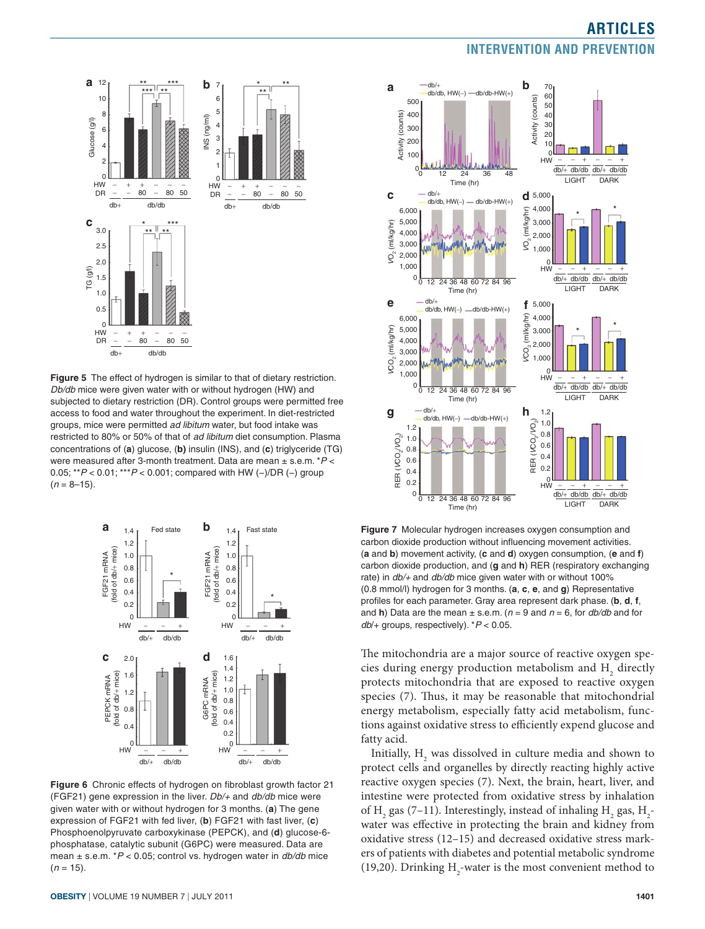

**Figure 5** The effect of hydrogen is similar to that of dietary restriction. *Db/db* mice were given water with or without hydrogen (HW) and subjected to dietary restriction (DR). Control groups were permitted free access to food and water throughout the experiment. In diet-restricted groups, mice were permitted *ad libitum* water, but food intake was restricted to 80% or 50% of that of *ad libitum* diet consumption. Plasma concentrations of (**a**) glucose, (**b)** insulin (INS), and (**c**) triglyceride (TG) were measured after 3-month treatment. Data are mean ± s.e.m. \**P* < 0.05; \*\**P* < 0.01; \*\*\**P* < 0.001; compared with HW (−)/DR (−) group  $(n = 8 - 15)$ .



**Figure 6** Chronic effects of hydrogen on fibroblast growth factor 21 (FGF21) gene expression in the liver. *Db/+* and *db/db* mice were given water with or without hydrogen for 3 months. (**a**) The gene expression of FGF21 with fed liver, (**b**) FGF21 with fast liver, (**c**) Phosphoenolpyruvate carboxykinase (PEPCK), and (**d**) glucose-6 phosphatase, catalytic subunit (G6PC) were measured. Data are mean ± s.e.m. \**P* < 0.05; control vs. hydrogen water in *db/db* mice  $(n = 15)$ .



**Figure 7** Molecular hydrogen increases oxygen consumption and carbon dioxide production without influencing movement activities. (**a** and **b**) movement activity, (**c** and **d**) oxygen consumption, (**e** and **f**) carbon dioxide production, and (**g** and **h**) RER (respiratory exchanging rate) in *db/+* and *db/db* mice given water with or without 100% (0.8 mmol/l) hydrogen for 3 months. (**a**, **c**, **e**, and **g**) Representative profiles for each parameter. Gray area represent dark phase. (**b**, **d**, **f**, and **h**) Data are the mean  $\pm$  s.e.m. ( $n = 9$  and  $n = 6$ , for  $db/db$  and for *db*/+ groups, respectively). \**P* < 0.05.

The mitochondria are a major source of reactive oxygen species during energy production metabolism and  $\mathrm{H}_{_{2}}$  directly protects mitochondria that are exposed to reactive oxygen species (7). Thus, it may be reasonable that mitochondrial energy metabolism, especially fatty acid metabolism, functions against oxidative stress to efficiently expend glucose and fatty acid.

Initially,  $H_2$  was dissolved in culture media and shown to protect cells and organelles by directly reacting highly active reactive oxygen species (7). Next, the brain, heart, liver, and intestine were protected from oxidative stress by inhalation of H<sub>2</sub> gas (7–11). Interestingly, instead of inhaling H<sub>2</sub> gas, H<sub>2</sub>water was effective in protecting the brain and kidney from oxidative stress (12–15) and decreased oxidative stress markers of patients with diabetes and potential metabolic syndrome (19,20). Drinking  $H_2$ -water is the most convenient method to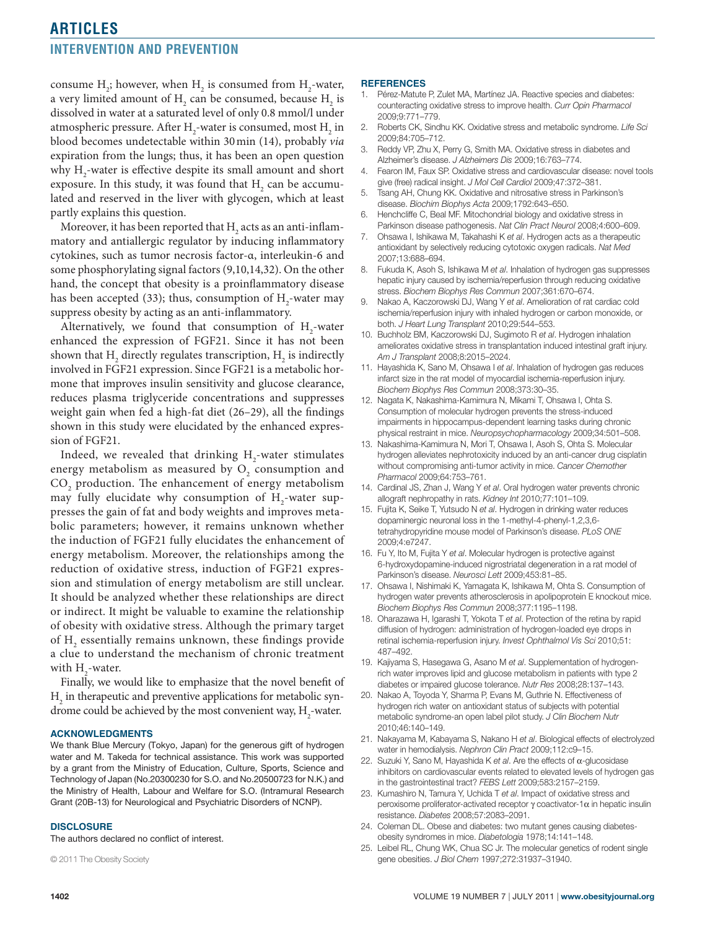## **articles**

### **Intervention and Prevention**

consume  $H_2$ ; however, when  $H_2$  is consumed from  $H_2$ -water, a very limited amount of  $\text{H}_{\text{2}}$  can be consumed, because  $\text{H}_{\text{2}}$  is dissolved in water at a saturated level of only 0.8 mmol/l under atmospheric pressure. After  $\rm H_2$ -water is consumed, most  $\rm H_2$  in blood becomes undetectable within 30min (14), probably *via* expiration from the lungs; thus, it has been an open question why  $\mathrm{H}_\text{2}$ -water is effective despite its small amount and short exposure. In this study, it was found that  $\mathrm{H}_{_{2}}$  can be accumulated and reserved in the liver with glycogen, which at least partly explains this question.

Moreover, it has been reported that  $\rm H_{_2}$  acts as an anti-inflammatory and antiallergic regulator by inducing inflammatory cytokines, such as tumor necrosis factor-α, interleukin-6 and some phosphorylating signal factors (9,10,14,32). On the other hand, the concept that obesity is a proinflammatory disease has been accepted (33); thus, consumption of  $H_2$ -water may suppress obesity by acting as an anti-inflammatory.

Alternatively, we found that consumption of  $H_2$ -water enhanced the expression of FGF21. Since it has not been shown that  $\text{H}_{\text{2}}$  directly regulates transcription,  $\text{H}_{\text{2}}$  is indirectly involved in FGF21 expression. Since FGF21 is a metabolic hormone that improves insulin sensitivity and glucose clearance, reduces plasma triglyceride concentrations and suppresses weight gain when fed a high-fat diet (26–29), all the findings shown in this study were elucidated by the enhanced expression of FGF21.

Indeed, we revealed that drinking  $H_2$ -water stimulates energy metabolism as measured by  $O_2$  consumption and  $\mathrm{CO}_2$  production. The enhancement of energy metabolism may fully elucidate why consumption of  $H_2$ -water suppresses the gain of fat and body weights and improves metabolic parameters; however, it remains unknown whether the induction of FGF21 fully elucidates the enhancement of energy metabolism. Moreover, the relationships among the reduction of oxidative stress, induction of FGF21 expression and stimulation of energy metabolism are still unclear. It should be analyzed whether these relationships are direct or indirect. It might be valuable to examine the relationship of obesity with oxidative stress. Although the primary target of  $\mathrm{H}_\mathrm{2}$  essentially remains unknown, these findings provide a clue to understand the mechanism of chronic treatment with  $\mathrm{H}_{\mathrm{2}}$ -water.

Finally, we would like to emphasize that the novel benefit of  $H<sub>2</sub>$  in therapeutic and preventive applications for metabolic syndrome could be achieved by the most convenient way,  $\mathrm{H}_{_2}$ -water.

#### **Acknowledgments**

We thank Blue Mercury (Tokyo, Japan) for the generous gift of hydrogen water and M. Takeda for technical assistance. This work was supported by a grant from the Ministry of Education, Culture, Sports, Science and Technology of Japan (No.20300230 for S.O. and No.20500723 for N.K.) and the Ministry of Health, Labour and Welfare for S.O. (Intramural Research Grant (20B-13) for Neurological and Psychiatric Disorders of NCNP).

#### **Disclosure**

The authors declared no conflict of interest.

© 2011 The Obesity Society

#### **REFERENCES**

- 1. Pérez-Matute P, Zulet MA, Martínez JA. Reactive species and diabetes: counteracting oxidative stress to improve health. *Curr Opin Pharmacol* 2009;9:771–779.
- 2. Roberts CK, Sindhu KK. Oxidative stress and metabolic syndrome. *Life Sci* 2009;84:705–712.
- 3. Reddy VP, Zhu X, Perry G, Smith MA. Oxidative stress in diabetes and Alzheimer's disease. *J Alzheimers Dis* 2009;16:763–774.
- 4. Fearon IM, Faux SP. Oxidative stress and cardiovascular disease: novel tools give (free) radical insight. *J Mol Cell Cardiol* 2009;47:372–381.
- 5. Tsang AH, Chung KK. Oxidative and nitrosative stress in Parkinson's disease. *Biochim Biophys Acta* 2009;1792:643–650.
- 6. Henchcliffe C, Beal MF. Mitochondrial biology and oxidative stress in Parkinson disease pathogenesis. *Nat Clin Pract Neurol* 2008;4:600–609.
- 7. Ohsawa I, Ishikawa M, Takahashi K *et al*. Hydrogen acts as a therapeutic antioxidant by selectively reducing cytotoxic oxygen radicals. *Nat Med* 2007;13:688–694.
- 8. Fukuda K, Asoh S, Ishikawa M *et al*. Inhalation of hydrogen gas suppresses hepatic injury caused by ischemia/reperfusion through reducing oxidative stress. *Biochem Biophys Res Commun* 2007;361:670–674.
- 9. Nakao A, Kaczorowski DJ, Wang Y *et al*. Amelioration of rat cardiac cold ischemia/reperfusion injury with inhaled hydrogen or carbon monoxide, or both. *J Heart Lung Transplant* 2010;29:544–553.
- 10. Buchholz BM, Kaczorowski DJ, Sugimoto R *et al*. Hydrogen inhalation ameliorates oxidative stress in transplantation induced intestinal graft injury. *Am J Transplant* 2008;8:2015–2024.
- 11. Hayashida K, Sano M, Ohsawa I *et al*. Inhalation of hydrogen gas reduces infarct size in the rat model of myocardial ischemia-reperfusion injury. *Biochem Biophys Res Commun* 2008;373:30–35.
- 12. Nagata K, Nakashima-Kamimura N, Mikami T, Ohsawa I, Ohta S. Consumption of molecular hydrogen prevents the stress-induced impairments in hippocampus-dependent learning tasks during chronic physical restraint in mice. *Neuropsychopharmacology* 2009;34:501–508.
- 13. Nakashima-Kamimura N, Mori T, Ohsawa I, Asoh S, Ohta S. Molecular hydrogen alleviates nephrotoxicity induced by an anti-cancer drug cisplatin without compromising anti-tumor activity in mice. *Cancer Chemother Pharmacol* 2009;64:753–761.
- 14. Cardinal JS, Zhan J, Wang Y *et al*. Oral hydrogen water prevents chronic allograft nephropathy in rats. *Kidney Int* 2010;77:101–109.
- 15. Fujita K, Seike T, Yutsudo N *et al*. Hydrogen in drinking water reduces dopaminergic neuronal loss in the 1-methyl-4-phenyl-1,2,3,6 tetrahydropyridine mouse model of Parkinson's disease. *PLoS ONE* 2009;4:e7247.
- 16. Fu Y, Ito M, Fujita Y *et al*. Molecular hydrogen is protective against 6-hydroxydopamine-induced nigrostriatal degeneration in a rat model of Parkinson's disease. *Neurosci Lett* 2009;453:81–85.
- 17. Ohsawa I, Nishimaki K, Yamagata K, Ishikawa M, Ohta S. Consumption of hydrogen water prevents atherosclerosis in apolipoprotein E knockout mice. *Biochem Biophys Res Commun* 2008;377:1195–1198.
- 18. Oharazawa H, Igarashi T, Yokota T *et al*. Protection of the retina by rapid diffusion of hydrogen: administration of hydrogen-loaded eye drops in retinal ischemia-reperfusion injury. *Invest Ophthalmol Vis Sci* 2010;51: 487–492.
- 19. Kajiyama S, Hasegawa G, Asano M *et al*. Supplementation of hydrogenrich water improves lipid and glucose metabolism in patients with type 2 diabetes or impaired glucose tolerance. *Nutr Res* 2008;28:137–143.
- 20. Nakao A, Toyoda Y, Sharma P, Evans M, Guthrie N. Effectiveness of hydrogen rich water on antioxidant status of subjects with potential metabolic syndrome-an open label pilot study. *J Clin Biochem Nutr* 2010;46:140–149.
- 21. Nakayama M, Kabayama S, Nakano H *et al*. Biological effects of electrolyzed water in hemodialysis. *Nephron Clin Pract* 2009;112:c9–15.
- 22. Suzuki Y, Sano M, Hayashida K *et al*. Are the effects of α-glucosidase inhibitors on cardiovascular events related to elevated levels of hydrogen gas in the gastrointestinal tract? *FEBS Lett* 2009;583:2157–2159.
- 23. Kumashiro N, Tamura Y, Uchida T *et al*. Impact of oxidative stress and peroxisome proliferator-activated receptor γ coactivator-1α in hepatic insulin resistance. *Diabetes* 2008;57:2083–2091.
- 24. Coleman DL. Obese and diabetes: two mutant genes causing diabetesobesity syndromes in mice. *Diabetologia* 1978;14:141–148.
- 25. Leibel RL, Chung WK, Chua SC Jr. The molecular genetics of rodent single gene obesities. *J Biol Chem* 1997;272:31937–31940.